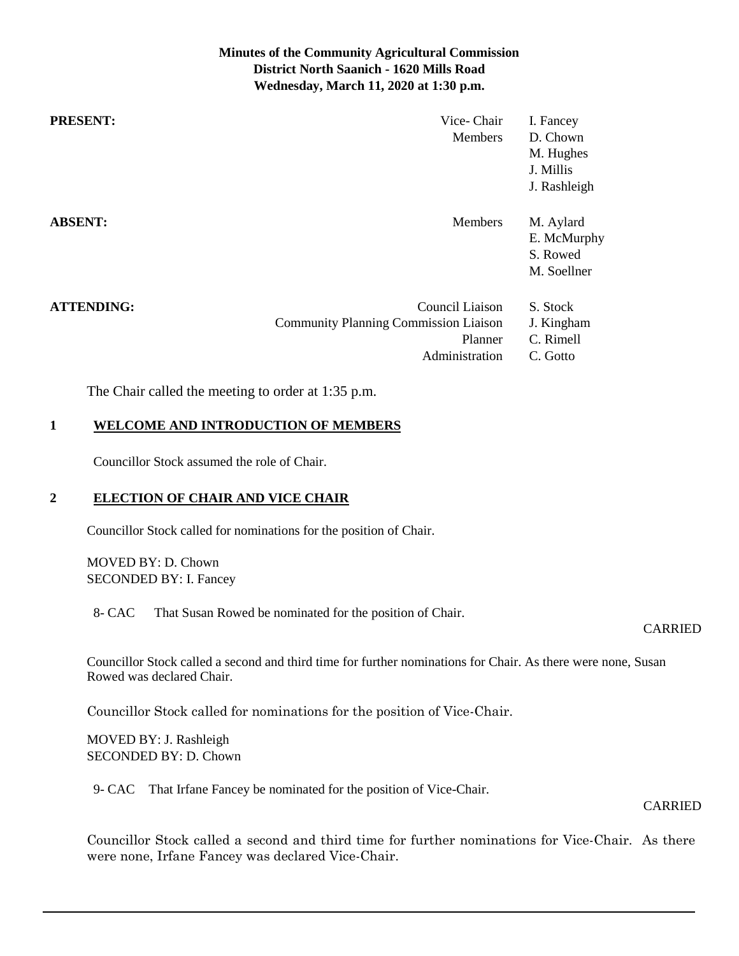# **Minutes of the Community Agricultural Commission District North Saanich - 1620 Mills Road Wednesday, March 11, 2020 at 1:30 p.m.**

| <b>PRESENT:</b>   | Vice-Chair<br><b>Members</b>                                                                 | I. Fancey<br>D. Chown<br>M. Hughes<br>J. Millis<br>J. Rashleigh |
|-------------------|----------------------------------------------------------------------------------------------|-----------------------------------------------------------------|
| <b>ABSENT:</b>    | Members                                                                                      | M. Aylard<br>E. McMurphy<br>S. Rowed<br>M. Soellner             |
| <b>ATTENDING:</b> | Council Liaison<br><b>Community Planning Commission Liaison</b><br>Planner<br>Administration | S. Stock<br>J. Kingham<br>C. Rimell<br>C. Gotto                 |

The Chair called the meeting to order at 1:35 p.m.

# **1 WELCOME AND INTRODUCTION OF MEMBERS**

Councillor Stock assumed the role of Chair.

## **2 ELECTION OF CHAIR AND VICE CHAIR**

Councillor Stock called for nominations for the position of Chair.

MOVED BY: D. Chown SECONDED BY: I. Fancey

8- CAC That Susan Rowed be nominated for the position of Chair.

#### CARRIED

Councillor Stock called a second and third time for further nominations for Chair. As there were none, Susan Rowed was declared Chair.

Councillor Stock called for nominations for the position of Vice-Chair.

MOVED BY: J. Rashleigh SECONDED BY: D. Chown

9- CAC That Irfane Fancey be nominated for the position of Vice-Chair.

#### CARRIED

Councillor Stock called a second and third time for further nominations for Vice-Chair. As there were none, Irfane Fancey was declared Vice-Chair.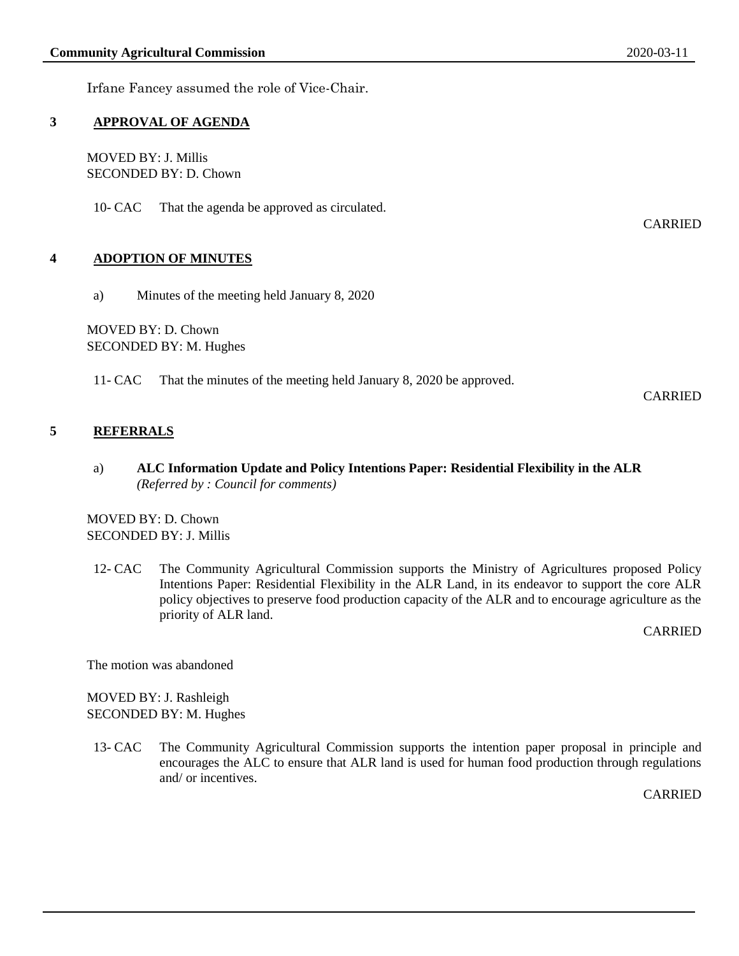Irfane Fancey assumed the role of Vice-Chair.

## **3 APPROVAL OF AGENDA**

MOVED BY: J. Millis SECONDED BY: D. Chown

10- CAC That the agenda be approved as circulated.

### **4 ADOPTION OF MINUTES**

a) Minutes of the meeting held January 8, 2020

MOVED BY: D. Chown SECONDED BY: M. Hughes

11- CAC That the minutes of the meeting held January 8, 2020 be approved.

CARRIED

CARRIED

# **5 REFERRALS**

a) **ALC Information Update and Policy Intentions Paper: Residential Flexibility in the ALR** *(Referred by : Council for comments)*

MOVED BY: D. Chown SECONDED BY: J. Millis

12- CAC The Community Agricultural Commission supports the Ministry of Agricultures proposed Policy Intentions Paper: Residential Flexibility in the ALR Land, in its endeavor to support the core ALR policy objectives to preserve food production capacity of the ALR and to encourage agriculture as the priority of ALR land.

CARRIED

The motion was abandoned

MOVED BY: J. Rashleigh SECONDED BY: M. Hughes

13- CAC The Community Agricultural Commission supports the intention paper proposal in principle and encourages the ALC to ensure that ALR land is used for human food production through regulations and/ or incentives.

**CARRIED**